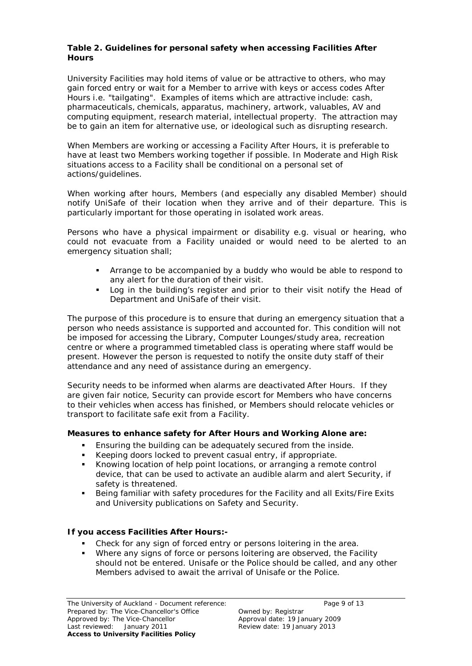## **Table 2. Guidelines for personal safety when accessing Facilities After Hours**

University Facilities may hold items of value or be attractive to others, who may gain forced entry or wait for a Member to arrive with keys or access codes After Hours i.e. "tailgating". Examples of items which are attractive include: cash, pharmaceuticals, chemicals, apparatus, machinery, artwork, valuables, AV and computing equipment, research material, intellectual property. The attraction may be to gain an item for alternative use, or ideological such as disrupting research.

When Members are working or accessing a Facility After Hours, it is preferable to have at least two Members working together if possible. In Moderate and High Risk situations access to a Facility shall be conditional on a personal set of actions/guidelines.

When working after hours, Members (and especially any disabled Member) should notify UniSafe of their location when they arrive and of their departure. This is particularly important for those operating in isolated work areas.

Persons who have a physical impairment or disability e.g. visual or hearing, who could not evacuate from a Facility unaided or would need to be alerted to an emergency situation shall;

- Arrange to be accompanied by a buddy who would be able to respond to any alert for the duration of their visit.
- Log in the building's register and prior to their visit notify the Head of Department and UniSafe of their visit.

The purpose of this procedure is to ensure that during an emergency situation that a person who needs assistance is supported and accounted for. This condition will not be imposed for accessing the Library, Computer Lounges/study area, recreation centre or where a programmed timetabled class is operating where staff would be present. However the person is requested to notify the onsite duty staff of their attendance and any need of assistance during an emergency.

Security needs to be informed when alarms are deactivated After Hours. If they are given fair notice, Security can provide escort for Members who have concerns to their vehicles when access has finished, or Members should relocate vehicles or transport to facilitate safe exit from a Facility.

## **Measures to enhance safety for After Hours and Working Alone are:**

- Ensuring the building can be adequately secured from the inside.
- Keeping doors locked to prevent casual entry, if appropriate.
- Knowing location of help point locations, or arranging a remote control device, that can be used to activate an audible alarm and alert Security, if safety is threatened.
- Being familiar with safety procedures for the Facility and all Exits/Fire Exits and University publications on Safety and Security.

# **If you access Facilities After Hours:-**

- Check for any sign of forced entry or persons loitering in the area.
- **Where any signs of force or persons loitering are observed, the Facility** should not be entered. Unisafe or the Police should be called, and any other Members advised to await the arrival of Unisafe or the Police.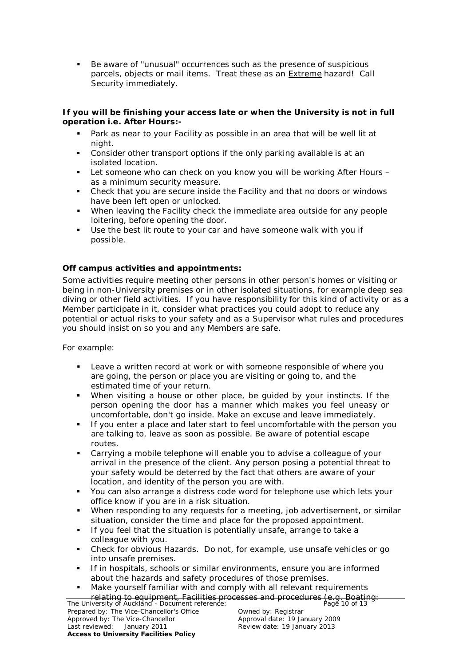Be aware of "unusual" occurrences such as the presence of suspicious parcels, objects or mail items. Treat these as an **Extreme hazard!** Call Security immediately.

#### **If you will be finishing your access late or when the University is not in full operation i.e. After Hours:-**

- Park as near to your Facility as possible in an area that will be well lit at night.
- Consider other transport options if the only parking available is at an isolated location.
- Let someone who can check on you know you will be working After Hours as a minimum security measure.
- Check that you are secure inside the Facility and that no doors or windows have been left open or unlocked.
- When leaving the Facility check the immediate area outside for any people loitering, before opening the door.
- Use the best lit route to your car and have someone walk with you if possible.

## **Off campus activities and appointments:**

Some activities require meeting other persons in other person's homes or visiting or being in non-University premises or in other isolated situations, for example deep sea diving or other field activities. If you have responsibility for this kind of activity or as a Member participate in it, consider what practices you could adopt to reduce any potential or actual risks to your safety and as a Supervisor what rules and procedures you should insist on so you and any Members are safe.

For example:

- Leave a written record at work or with someone responsible of where you are going, the person or place you are visiting or going to, and the estimated time of your return.
- When visiting a house or other place, be guided by your instincts. If the person opening the door has a manner which makes you feel uneasy or uncomfortable, don't go inside. Make an excuse and leave immediately.
- If you enter a place and later start to feel uncomfortable with the person you are talking to, leave as soon as possible. Be aware of potential escape routes.
- Carrying a mobile telephone will enable you to advise a colleague of your arrival in the presence of the client. Any person posing a potential threat to your safety would be deterred by the fact that others are aware of your location, and identity of the person you are with.
- You can also arrange a distress code word for telephone use which lets your office know if you are in a risk situation.
- When responding to any requests for a meeting, job advertisement, or similar situation, consider the time and place for the proposed appointment.
- If you feel that the situation is potentially unsafe, arrange to take a colleague with you.
- Check for obvious Hazards. Do not, for example, use unsafe vehicles or go into unsafe premises.
- If in hospitals, schools or similar environments, ensure you are informed about the hazards and safety procedures of those premises.
- The University of Auckland Document reference: Page 10 of 13 relating to equipment, Facilities processes and procedures (e.g. Boating:Make yourself familiar with and comply with all relevant requirements